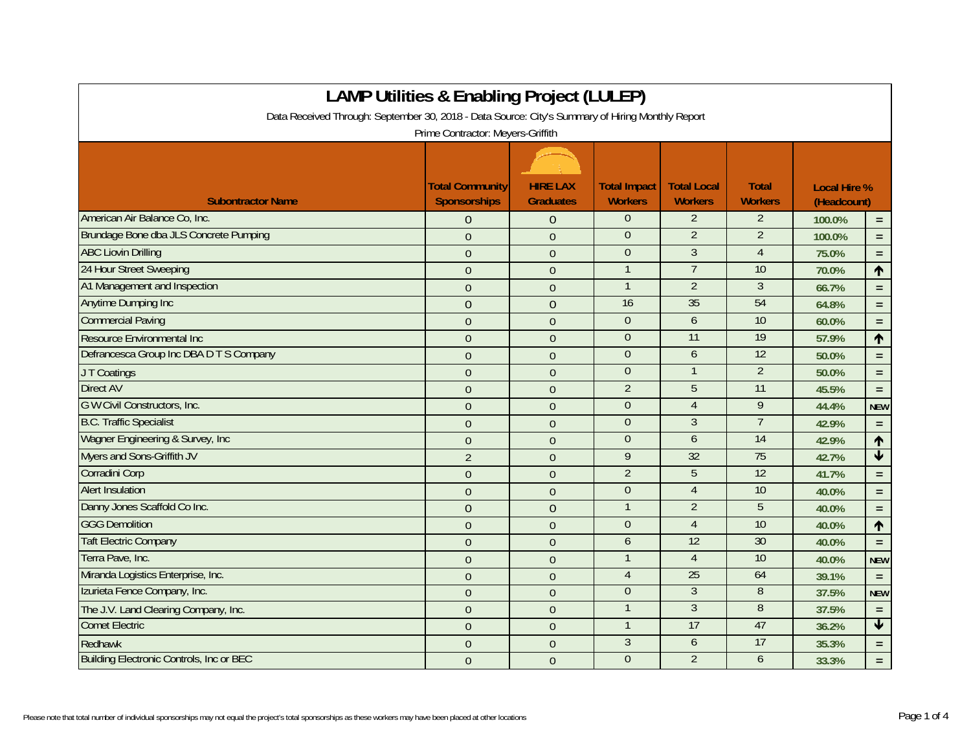| <b>LAMP Utilities &amp; Enabling Project (LULEP)</b>                                             |                                               |                                     |                                       |                                      |                                |                                    |                         |
|--------------------------------------------------------------------------------------------------|-----------------------------------------------|-------------------------------------|---------------------------------------|--------------------------------------|--------------------------------|------------------------------------|-------------------------|
| Data Received Through: September 30, 2018 - Data Source: City's Summary of Hiring Monthly Report |                                               |                                     |                                       |                                      |                                |                                    |                         |
| Prime Contractor: Meyers-Griffith                                                                |                                               |                                     |                                       |                                      |                                |                                    |                         |
|                                                                                                  |                                               |                                     |                                       |                                      |                                |                                    |                         |
| <b>Subontractor Name</b>                                                                         | <b>Total Community</b><br><b>Sponsorships</b> | <b>HIRE LAX</b><br><b>Graduates</b> | <b>Total Impact</b><br><b>Workers</b> | <b>Total Local</b><br><b>Workers</b> | <b>Total</b><br><b>Workers</b> | <b>Local Hire %</b><br>(Headcount) |                         |
| American Air Balance Co, Inc.                                                                    | $\Omega$                                      | $\theta$                            | $\overline{0}$                        | $\overline{2}$                       | 2                              | 100.0%                             | $\equiv$                |
| Brundage Bone dba JLS Concrete Pumping                                                           | $\Omega$                                      | $\theta$                            | $\overline{0}$                        | $\overline{2}$                       | $\overline{2}$                 | 100.0%                             | $\equiv$                |
| <b>ABC Liovin Drilling</b>                                                                       | $\overline{0}$                                | $\Omega$                            | $\Omega$                              | $\overline{3}$                       | $\overline{4}$                 | 75.0%                              | $\equiv$                |
| 24 Hour Street Sweeping                                                                          | $\overline{0}$                                | $\overline{0}$                      | $\mathbf{1}$                          | $\overline{7}$                       | 10                             | 70.0%                              | $\uparrow$              |
| A1 Management and Inspection                                                                     | $\overline{0}$                                | $\overline{0}$                      | $\mathbf 1$                           | $\overline{2}$                       | 3                              | 66.7%                              | $\equiv$                |
| <b>Anytime Dumping Inc</b>                                                                       | $\overline{0}$                                | $\overline{0}$                      | 16                                    | 35                                   | 54                             | 64.8%                              | $\equiv$                |
| <b>Commercial Paving</b>                                                                         | $\overline{0}$                                | $\overline{0}$                      | $\mathbf{0}$                          | 6                                    | 10                             | 60.0%                              | $\equiv$                |
| Resource Environmental Inc                                                                       | $\overline{0}$                                | $\overline{0}$                      | $\overline{0}$                        | $\overline{11}$                      | 19                             | 57.9%                              | $\uparrow$              |
| Defrancesca Group Inc DBA D T S Company                                                          | $\overline{0}$                                | $\Omega$                            | $\mathbf{0}$                          | 6                                    | 12                             | 50.0%                              | $\equiv$                |
| JT Coatings                                                                                      | $\overline{0}$                                | $\overline{0}$                      | $\Omega$                              | $\mathbf{1}$                         | $\overline{2}$                 | 50.0%                              | $\equiv$                |
| <b>Direct AV</b>                                                                                 | $\overline{0}$                                | $\overline{0}$                      | $\overline{2}$                        | 5                                    | 11                             | 45.5%                              | $\equiv$                |
| G W Civil Constructors, Inc.                                                                     | $\overline{0}$                                | $\theta$                            | $\mathbf{0}$                          | $\overline{4}$                       | 9                              | 44.4%                              | <b>NEW</b>              |
| <b>B.C. Traffic Specialist</b>                                                                   | $\Omega$                                      | $\theta$                            | $\Omega$                              | $\overline{3}$                       | $\overline{7}$                 | 42.9%                              | $\equiv$                |
| Wagner Engineering & Survey, Inc.                                                                | $\overline{0}$                                | $\overline{0}$                      | $\theta$                              | 6                                    | $\overline{14}$                | 42.9%                              | $\uparrow$              |
| Myers and Sons-Griffith JV                                                                       | $\overline{2}$                                | $\theta$                            | 9                                     | 32                                   | 75                             | 42.7%                              | $\blacktriangledown$    |
| Corradini Corp                                                                                   | $\overline{0}$                                | $\theta$                            | $\overline{2}$                        | 5                                    | 12                             | 41.7%                              | $\equiv$                |
| <b>Alert Insulation</b>                                                                          | $\overline{0}$                                | $\mathbf{0}$                        | $\theta$                              | $\overline{4}$                       | 10                             | 40.0%                              | $\equiv$                |
| Danny Jones Scaffold Co Inc.                                                                     | $\overline{0}$                                | $\overline{0}$                      | $\mathbf{1}$                          | $\overline{2}$                       | 5                              | 40.0%                              | $\equiv$                |
| <b>GGG Demolition</b>                                                                            | $\Omega$                                      | $\theta$                            | $\overline{0}$                        | $\overline{4}$                       | 10                             | 40.0%                              | $\uparrow$              |
| <b>Taft Electric Company</b>                                                                     | $\overline{0}$                                | $\overline{0}$                      | 6                                     | 12                                   | 30                             | 40.0%                              | $\equiv$                |
| Terra Pave, Inc.                                                                                 | $\overline{0}$                                | $\theta$                            | $\mathbf{1}$                          | $\overline{4}$                       | 10                             | 40.0%                              | <b>NEW</b>              |
| Miranda Logistics Enterprise, Inc.                                                               | $\Omega$                                      | $\theta$                            | $\overline{4}$                        | 25                                   | 64                             | 39.1%                              | $\equiv$                |
| Izurieta Fence Company, Inc.                                                                     | $\overline{0}$                                | $\overline{0}$                      | $\overline{0}$                        | $\overline{3}$                       | 8                              | 37.5%                              | <b>NEW</b>              |
| The J.V. Land Clearing Company, Inc.                                                             | $\overline{0}$                                | $\theta$                            | $\overline{1}$                        | $\overline{3}$                       | $\overline{8}$                 | 37.5%                              | $\equiv$                |
| <b>Comet Electric</b>                                                                            | $\overline{0}$                                | $\overline{0}$                      | $\mathbf{1}$                          | 17                                   | 47                             | 36.2%                              | $\overline{\textbf{v}}$ |
| Redhawk                                                                                          | $\Omega$                                      | $\theta$                            | $\mathfrak{Z}$                        | 6                                    | 17                             | 35.3%                              | $\equiv$                |
| <b>Building Electronic Controls, Inc or BEC</b>                                                  | $\overline{0}$                                | $\overline{0}$                      | $\Omega$                              | $\overline{2}$                       | 6                              | 33.3%                              | $\equiv$                |

┑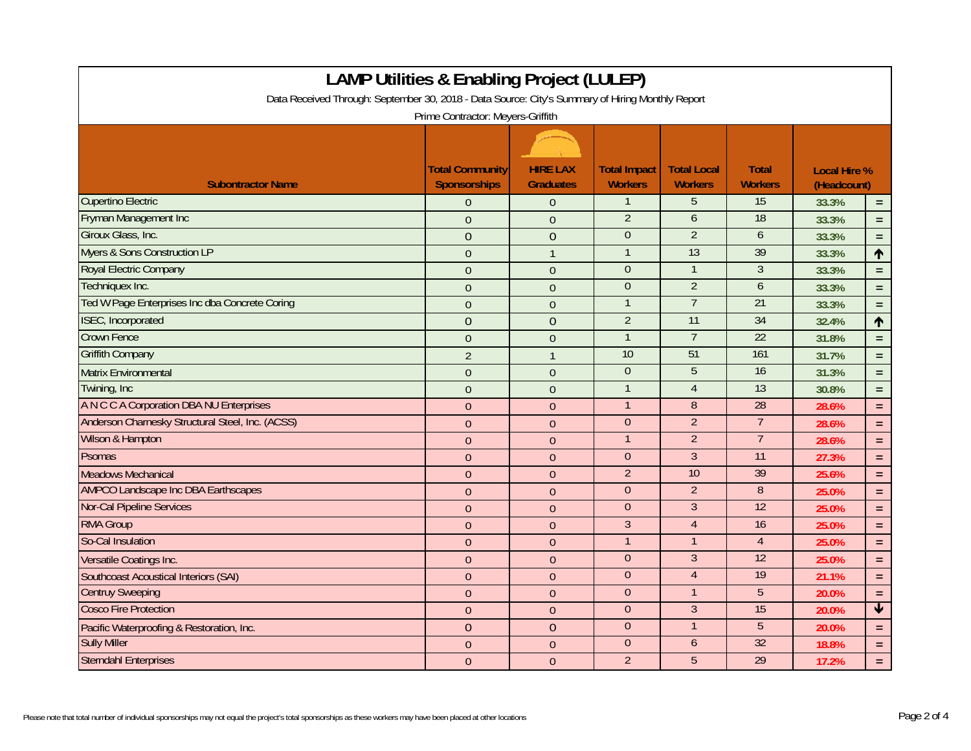| <b>LAMP Utilities &amp; Enabling Project (LULEP)</b>                                             |                                               |                                     |                                       |                                      |                                |                                    |                         |  |
|--------------------------------------------------------------------------------------------------|-----------------------------------------------|-------------------------------------|---------------------------------------|--------------------------------------|--------------------------------|------------------------------------|-------------------------|--|
| Data Received Through: September 30, 2018 - Data Source: City's Summary of Hiring Monthly Report |                                               |                                     |                                       |                                      |                                |                                    |                         |  |
| Prime Contractor: Meyers-Griffith                                                                |                                               |                                     |                                       |                                      |                                |                                    |                         |  |
|                                                                                                  |                                               |                                     |                                       |                                      |                                |                                    |                         |  |
| <b>Subontractor Name</b>                                                                         | <b>Total Community</b><br><b>Sponsorships</b> | <b>HIRE LAX</b><br><b>Graduates</b> | <b>Total Impact</b><br><b>Workers</b> | <b>Total Local</b><br><b>Workers</b> | <b>Total</b><br><b>Workers</b> | <b>Local Hire %</b><br>(Headcount) |                         |  |
| <b>Cupertino Electric</b>                                                                        | $\overline{0}$                                | $\Omega$                            | $\mathbf{1}$                          | 5                                    | 15                             | 33.3%                              | $\equiv$                |  |
| Fryman Management Inc                                                                            | $\Omega$                                      | $\overline{0}$                      | $\overline{2}$                        | 6                                    | 18                             | 33.3%                              | $=$ $\,$                |  |
| Giroux Glass, Inc.                                                                               | $\overline{0}$                                | $\mathbf{0}$                        | $\overline{0}$                        | $\overline{2}$                       | 6                              | 33.3%                              | $\equiv$                |  |
| <b>Myers &amp; Sons Construction LP</b>                                                          | $\overline{0}$                                | $\mathbf{1}$                        | $\mathbf{1}$                          | 13                                   | 39                             | 33.3%                              | $\uparrow$              |  |
| Royal Electric Company                                                                           | $\Omega$                                      | $\theta$                            | $\mathbf{0}$                          | $\mathbf{1}$                         | $\mathfrak{Z}$                 | 33.3%                              | $=$                     |  |
| Techniquex Inc.                                                                                  | $\overline{0}$                                | $\overline{0}$                      | $\Omega$                              | $\overline{2}$                       | 6                              | 33.3%                              | $\equiv$                |  |
| Ted W Page Enterprises Inc dba Concrete Coring                                                   | $\mathbf{0}$                                  | $\theta$                            | $\mathbf{1}$                          | $\overline{7}$                       | $\overline{21}$                | 33.3%                              | $\equiv$                |  |
| <b>ISEC, Incorporated</b>                                                                        | $\overline{0}$                                | $\overline{0}$                      | $\overline{2}$                        | $\overline{11}$                      | 34                             | 32.4%                              | $\hat{\mathbf{r}}$      |  |
| <b>Crown Fence</b>                                                                               | $\overline{0}$                                | $\overline{0}$                      | $\mathbf{1}$                          | $\overline{7}$                       | $\overline{22}$                | 31.8%                              | $\equiv$                |  |
| <b>Griffith Company</b>                                                                          | $\overline{2}$                                | $\mathbf{1}$                        | 10                                    | 51                                   | 161                            | 31.7%                              | $\equiv$                |  |
| <b>Matrix Environmental</b>                                                                      | $\overline{0}$                                | $\overline{0}$                      | $\overline{0}$                        | 5                                    | 16                             | 31.3%                              | $\equiv$                |  |
| Twining, Inc.                                                                                    | $\overline{0}$                                | $\mathbf{0}$                        | $\mathbf{1}$                          | $\overline{4}$                       | 13                             | 30.8%                              | $=$                     |  |
| A N C C A Corporation DBA NU Enterprises                                                         | $\overline{0}$                                | $\mathbf{0}$                        | $\mathbf{1}$                          | $\, 8$                               | 28                             | 28.6%                              | $\equiv$                |  |
| Anderson Charnesky Structural Steel, Inc. (ACSS)                                                 | $\mathbf{0}$                                  | $\mathbf{0}$                        | $\overline{0}$                        | $\overline{2}$                       | $\overline{7}$                 | 28.6%                              | $\equiv$                |  |
| Wilson & Hampton                                                                                 | $\Omega$                                      | $\theta$                            | $\mathbf{1}$                          | $\overline{2}$                       | $\overline{7}$                 | 28.6%                              | $=$                     |  |
| Psomas                                                                                           | $\mathbf{0}$                                  | $\mathbf{0}$                        | $\boldsymbol{0}$                      | $\overline{3}$                       | 11                             | 27.3%                              | $\equiv$                |  |
| <b>Meadows Mechanical</b>                                                                        | $\overline{0}$                                | $\overline{0}$                      | $\overline{2}$                        | 10                                   | 39                             | 25.6%                              | $\equiv$                |  |
| <b>AMPCO Landscape Inc DBA Earthscapes</b>                                                       | $\overline{0}$                                | $\overline{0}$                      | $\overline{0}$                        | $\overline{2}$                       | $\overline{8}$                 | 25.0%                              | $\equiv$                |  |
| <b>Nor-Cal Pipeline Services</b>                                                                 | $\overline{0}$                                | $\overline{0}$                      | $\Omega$                              | 3                                    | 12                             | 25.0%                              | $\equiv$                |  |
| <b>RMA Group</b>                                                                                 | $\Omega$                                      | $\mathbf{0}$                        | $\mathfrak{Z}$                        | $\overline{4}$                       | 16                             | 25.0%                              | $\equiv$                |  |
| So-Cal Insulation                                                                                | $\Omega$                                      | $\overline{0}$                      | $\mathbf{1}$                          | $\mathbf 1$                          | $\overline{4}$                 | 25.0%                              | $\equiv$                |  |
| Versatile Coatings Inc.                                                                          | $\theta$                                      | $\mathbf{0}$                        | $\overline{0}$                        | $\overline{3}$                       | 12                             | 25.0%                              | $\equiv$                |  |
| Southcoast Acoustical Interiors (SAI)                                                            | $\overline{0}$                                | $\mathbf{0}$                        | $\overline{0}$                        | $\overline{4}$                       | 19                             | 21.1%                              | $\equiv$                |  |
| <b>Centruy Sweeping</b>                                                                          | $\overline{0}$                                | $\overline{0}$                      | $\overline{0}$                        | $\mathbf{1}$                         | 5                              | 20.0%                              | $\equiv$                |  |
| <b>Cosco Fire Protection</b>                                                                     | $\theta$                                      | $\mathbf{0}$                        | $\overline{0}$                        | $\overline{3}$                       | 15                             | 20.0%                              | $\overline{\textbf{v}}$ |  |
| Pacific Waterproofing & Restoration, Inc.                                                        | $\overline{0}$                                | $\overline{0}$                      | $\theta$                              | $\mathbf 1$                          | 5                              | 20.0%                              | $\equiv$                |  |
| <b>Sully Miller</b>                                                                              | $\Omega$                                      | $\theta$                            | $\overline{0}$                        | 6                                    | 32                             | 18.8%                              | $\equiv$                |  |
| <b>Sterndahl Enterprises</b>                                                                     | $\overline{0}$                                | $\overline{0}$                      | $\overline{2}$                        | $\overline{5}$                       | 29                             | 17.2%                              | $\equiv$                |  |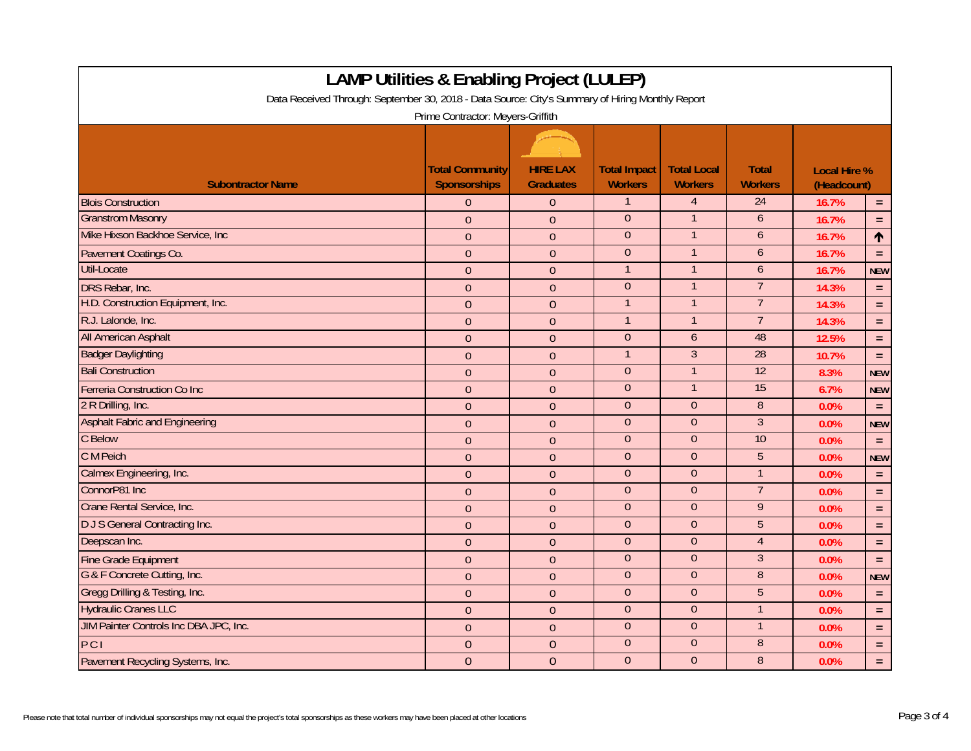| <b>LAMP Utilities &amp; Enabling Project (LULEP)</b>                                             |                                        |                                     |                                       |                                      |                                |                                    |            |  |
|--------------------------------------------------------------------------------------------------|----------------------------------------|-------------------------------------|---------------------------------------|--------------------------------------|--------------------------------|------------------------------------|------------|--|
| Data Received Through: September 30, 2018 - Data Source: City's Summary of Hiring Monthly Report |                                        |                                     |                                       |                                      |                                |                                    |            |  |
| Prime Contractor: Meyers-Griffith                                                                |                                        |                                     |                                       |                                      |                                |                                    |            |  |
|                                                                                                  |                                        |                                     |                                       |                                      |                                |                                    |            |  |
| <b>Subontractor Name</b>                                                                         | <b>Total Community</b><br>Sponsorships | <b>HIRE LAX</b><br><b>Graduates</b> | <b>Total Impact</b><br><b>Workers</b> | <b>Total Local</b><br><b>Workers</b> | <b>Total</b><br><b>Workers</b> | <b>Local Hire %</b><br>(Headcount) |            |  |
| <b>Blois Construction</b>                                                                        | $\Omega$                               | $\theta$                            | $\mathbf{1}$                          | $\overline{4}$                       | 24                             | 16.7%                              | $=$        |  |
| <b>Granstrom Masonry</b>                                                                         | $\Omega$                               | $\theta$                            | $\Omega$                              |                                      | 6                              | 16.7%                              | $\equiv$   |  |
| Mike Hixson Backhoe Service, Inc                                                                 | $\overline{0}$                         | $\mathbf{0}$                        | $\overline{0}$                        | $\mathbf{1}$                         | 6                              | 16.7%                              | $\uparrow$ |  |
| Pavement Coatings Co.                                                                            | $\overline{0}$                         | $\overline{0}$                      | $\overline{0}$                        | $\mathbf{1}$                         | 6                              | 16.7%                              | $\equiv$   |  |
| Util-Locate                                                                                      | $\Omega$                               | $\theta$                            | $\mathbf{1}$                          | 1                                    | 6                              | 16.7%                              | <b>NEW</b> |  |
| <b>DRS Rebar, Inc.</b>                                                                           | $\overline{0}$                         | $\overline{0}$                      | $\mathbf{0}$                          | $\mathbf 1$                          | $\overline{7}$                 | 14.3%                              | $\equiv$   |  |
| H.D. Construction Equipment, Inc.                                                                | $\overline{0}$                         | $\overline{0}$                      | $\mathbf{1}$                          | $\mathbf 1$                          | $\overline{7}$                 | 14.3%                              | $\equiv$   |  |
| R.J. Lalonde, Inc.                                                                               | $\theta$                               | $\theta$                            | $\mathbf{1}$                          | $\mathbf{1}$                         | $\overline{7}$                 | 14.3%                              | $\equiv$   |  |
| <b>All American Asphalt</b>                                                                      | $\mathbf{0}$                           | $\overline{0}$                      | $\overline{0}$                        | $\overline{6}$                       | 48                             | 12.5%                              | $\equiv$   |  |
| <b>Badger Daylighting</b>                                                                        | $\overline{0}$                         | $\mathbf{0}$                        | $\mathbf{1}$                          | $\overline{3}$                       | 28                             | 10.7%                              | $\equiv$   |  |
| <b>Bali Construction</b>                                                                         | $\overline{0}$                         | $\overline{0}$                      | $\mathbf{0}$                          | $\mathbf{1}$                         | $\overline{12}$                | 8.3%                               | <b>NEW</b> |  |
| Ferreria Construction Co Inc                                                                     | $\overline{0}$                         | $\mathbf{0}$                        | $\overline{0}$                        | $\mathbf{1}$                         | 15                             | 6.7%                               | <b>NEW</b> |  |
| 2 R Drilling, Inc.                                                                               | $\overline{0}$                         | $\mathbf{0}$                        | $\boldsymbol{0}$                      | $\boldsymbol{0}$                     | $\, 8$                         | 0.0%                               | $\equiv$   |  |
| <b>Asphalt Fabric and Engineering</b>                                                            | $\overline{0}$                         | $\overline{0}$                      | $\overline{0}$                        | $\overline{0}$                       | $\overline{3}$                 | 0.0%                               | <b>NEW</b> |  |
| C Below                                                                                          | $\Omega$                               | $\theta$                            | $\overline{0}$                        | $\overline{0}$                       | 10                             | 0.0%                               | $\equiv$   |  |
| C M Peich                                                                                        | $\overline{0}$                         | $\mathbf{0}$                        | $\boldsymbol{0}$                      | $\boldsymbol{0}$                     | 5                              | 0.0%                               | <b>NEW</b> |  |
| Calmex Engineering, Inc.                                                                         | $\overline{0}$                         | $\overline{0}$                      | $\mathbf{0}$                          | $\theta$                             | $\overline{1}$                 | 0.0%                               | $\equiv$   |  |
| ConnorP81 Inc                                                                                    | $\Omega$                               | $\overline{0}$                      | $\overline{0}$                        | $\overline{0}$                       | $\overline{7}$                 | 0.0%                               | $\equiv$   |  |
| Crane Rental Service, Inc.                                                                       | $\overline{0}$                         | $\mathbf{0}$                        | $\Omega$                              | $\theta$                             | 9                              | 0.0%                               | $\equiv$   |  |
| <b>DJS</b> General Contracting Inc.                                                              | $\Omega$                               | $\mathbf{0}$                        | $\overline{0}$                        | $\theta$                             | 5                              | 0.0%                               | $\equiv$   |  |
| Deepscan Inc.                                                                                    | $\theta$                               | $\overline{0}$                      | $\overline{0}$                        | $\theta$                             | $\overline{4}$                 | 0.0%                               | $\equiv$   |  |
| Fine Grade Equipment                                                                             | $\mathbf{0}$                           | $\theta$                            | $\overline{0}$                        | $\overline{0}$                       | $\overline{3}$                 | 0.0%                               | $\equiv$   |  |
| G & F Concrete Cutting, Inc.                                                                     | $\overline{0}$                         | $\overline{0}$                      | $\overline{0}$                        | $\overline{0}$                       | $\overline{8}$                 | 0.0%                               | <b>NEW</b> |  |
| Gregg Drilling & Testing, Inc.                                                                   | $\overline{0}$                         | $\overline{0}$                      | $\overline{0}$                        | $\overline{0}$                       | $\overline{5}$                 | 0.0%                               | $\equiv$   |  |
| <b>Hydraulic Cranes LLC</b>                                                                      | $\overline{0}$                         | $\mathbf{0}$                        | $\overline{0}$                        | $\overline{0}$                       | $\mathbf{1}$                   | 0.0%                               | $\equiv$   |  |
| JIM Painter Controls Inc DBA JPC, Inc.                                                           | $\overline{0}$                         | $\overline{0}$                      | $\overline{0}$                        | $\overline{0}$                       | 1                              | 0.0%                               | $\equiv$   |  |
| PCI                                                                                              | $\overline{0}$                         | $\overline{0}$                      | $\overline{0}$                        | $\theta$                             | $\overline{8}$                 | 0.0%                               | $\equiv$   |  |
| Pavement Recycling Systems, Inc.                                                                 | $\overline{0}$                         | $\mathbf{0}$                        | $\overline{0}$                        | $\overline{0}$                       | $\overline{8}$                 | 0.0%                               | $\equiv$   |  |